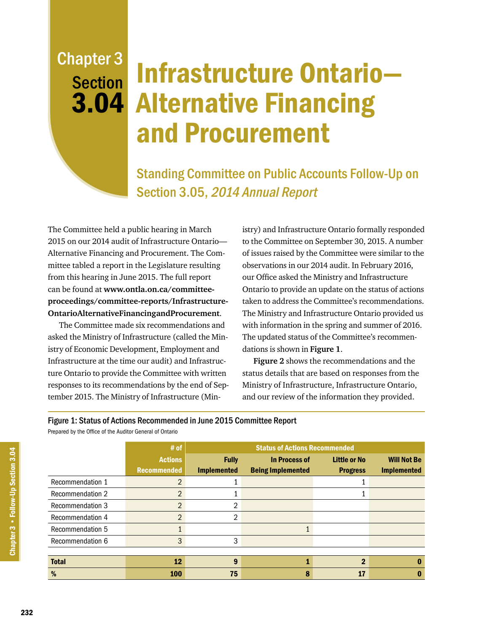## Chapter 3 **Section**

## 3.04 Alternative Financing Infrastructure Ontario and Procurement

Standing Committee on Public Accounts Follow-Up on Section 3.05, 2014 Annual Report

The Committee held a public hearing in March 2015 on our 2014 audit of Infrastructure Ontario— Alternative Financing and Procurement. The Committee tabled a report in the Legislature resulting from this hearing in June 2015. The full report can be found at **[www.ontla.on.ca/committee](http://www.ontla.on.ca/committee-proceedings/committee-reports/files_html/INFRASTRUCTURE%20ONTARIO%20ALTERNATIVE%20FINANCING%20AND%20PROCUREMENT%20S%203%2005%20AUDITOR%20GENERAL)[proceedings/committee-reports/Infrastructure-](http://www.ontla.on.ca/committee-proceedings/committee-reports/files_html/INFRASTRUCTURE%20ONTARIO%20ALTERNATIVE%20FINANCING%20AND%20PROCUREMENT%20S%203%2005%20AUDITOR%20GENERAL)[OntarioAlternativeFinancingandProcurement](http://www.ontla.on.ca/committee-proceedings/committee-reports/files_html/INFRASTRUCTURE%20ONTARIO%20ALTERNATIVE%20FINANCING%20AND%20PROCUREMENT%20S%203%2005%20AUDITOR%20GENERAL)**.

The Committee made six recommendations and asked the Ministry of Infrastructure (called the Ministry of Economic Development, Employment and Infrastructure at the time our audit) and Infrastructure Ontario to provide the Committee with written responses to its recommendations by the end of September 2015. The Ministry of Infrastructure (Ministry) and Infrastructure Ontario formally responded to the Committee on September 30, 2015. A number of issues raised by the Committee were similar to the observations in our 2014 audit. In February 2016, our Office asked the Ministry and Infrastructure Ontario to provide an update on the status of actions taken to address the Committee's recommendations. The Ministry and Infrastructure Ontario provided us with information in the spring and summer of 2016. The updated status of the Committee's recommendations is shown in **Figure 1**.

**Figure 2** shows the recommendations and the status details that are based on responses from the Ministry of Infrastructure, Infrastructure Ontario, and our review of the information they provided.

## Figure 1: Status of Actions Recommended in June 2015 Committee Report

Prepared by the Office of the Auditor General of Ontario

|                         | $#$ of             | <b>Status of Actions Recommended</b> |                          |                     |                    |
|-------------------------|--------------------|--------------------------------------|--------------------------|---------------------|--------------------|
|                         | <b>Actions</b>     | <b>Fully</b>                         | <b>In Process of</b>     | <b>Little or No</b> | <b>Will Not Be</b> |
|                         | <b>Recommended</b> | <b>Implemented</b>                   | <b>Being Implemented</b> | <b>Progress</b>     | <b>Implemented</b> |
| Recommendation 1        | $\overline{2}$     |                                      |                          |                     |                    |
| <b>Recommendation 2</b> | $\overline{2}$     |                                      |                          |                     |                    |
| <b>Recommendation 3</b> | $\overline{2}$     |                                      |                          |                     |                    |
| Recommendation 4        | $\overline{2}$     | ኅ                                    |                          |                     |                    |
| Recommendation 5        |                    |                                      |                          |                     |                    |
| Recommendation 6        | 3                  | 3                                    |                          |                     |                    |
|                         |                    |                                      |                          |                     |                    |
| <b>Total</b>            | 12                 | 9                                    |                          | $\mathbf 2$         |                    |
| %                       | <b>100</b>         | 75                                   | 8                        | 17                  |                    |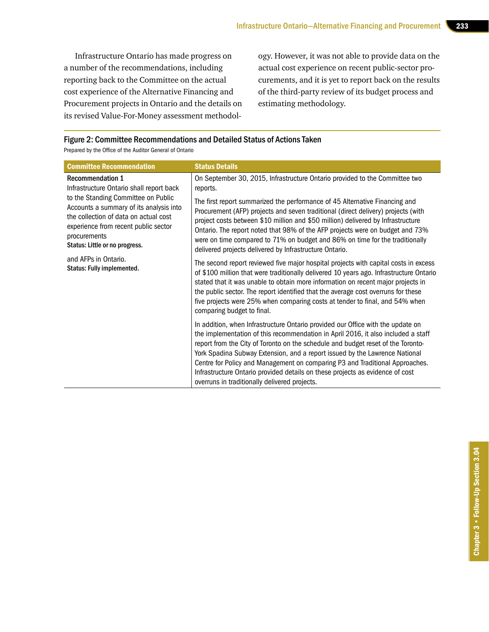Infrastructure Ontario has made progress on a number of the recommendations, including reporting back to the Committee on the actual cost experience of the Alternative Financing and Procurement projects in Ontario and the details on its revised Value-For-Money assessment methodology. However, it was not able to provide data on the actual cost experience on recent public-sector procurements, and it is yet to report back on the results of the third-party review of its budget process and estimating methodology.

## Figure 2: Committee Recommendations and Detailed Status of Actions Taken

Prepared by the Office of the Auditor General of Ontario

| <b>Committee Recommendation</b>                                                                                                                                                                                                                                                | <b>Status Details</b>                                                                                                                                                                                                                                                                                                                                                                                                                                                                                                                                     |
|--------------------------------------------------------------------------------------------------------------------------------------------------------------------------------------------------------------------------------------------------------------------------------|-----------------------------------------------------------------------------------------------------------------------------------------------------------------------------------------------------------------------------------------------------------------------------------------------------------------------------------------------------------------------------------------------------------------------------------------------------------------------------------------------------------------------------------------------------------|
| <b>Recommendation 1</b><br>Infrastructure Ontario shall report back                                                                                                                                                                                                            | On September 30, 2015, Infrastructure Ontario provided to the Committee two<br>reports.                                                                                                                                                                                                                                                                                                                                                                                                                                                                   |
| to the Standing Committee on Public<br>Accounts a summary of its analysis into<br>the collection of data on actual cost<br>experience from recent public sector<br>procurements<br>Status: Little or no progress.<br>and AFPs in Ontario.<br><b>Status: Fully implemented.</b> | The first report summarized the performance of 45 Alternative Financing and<br>Procurement (AFP) projects and seven traditional (direct delivery) projects (with<br>project costs between \$10 million and \$50 million) delivered by Infrastructure<br>Ontario. The report noted that 98% of the AFP projects were on budget and 73%<br>were on time compared to 71% on budget and 86% on time for the traditionally<br>delivered projects delivered by Infrastructure Ontario.                                                                          |
|                                                                                                                                                                                                                                                                                | The second report reviewed five major hospital projects with capital costs in excess<br>of \$100 million that were traditionally delivered 10 years ago. Infrastructure Ontario<br>stated that it was unable to obtain more information on recent major projects in<br>the public sector. The report identified that the average cost overruns for these<br>five projects were 25% when comparing costs at tender to final, and 54% when<br>comparing budget to final.                                                                                    |
|                                                                                                                                                                                                                                                                                | In addition, when Infrastructure Ontario provided our Office with the update on<br>the implementation of this recommendation in April 2016, it also included a staff<br>report from the City of Toronto on the schedule and budget reset of the Toronto-<br>York Spadina Subway Extension, and a report issued by the Lawrence National<br>Centre for Policy and Management on comparing P3 and Traditional Approaches.<br>Infrastructure Ontario provided details on these projects as evidence of cost<br>overruns in traditionally delivered projects. |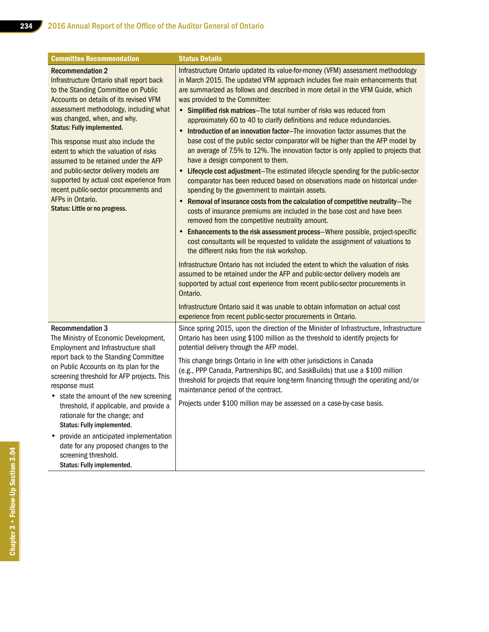| <b>Committee Recommendation</b>                                                                                                                                                                                                                                                                                                                                                                                                                                                                                                                                                 | <b>Status Details</b>                                                                                                                                                                                                                                                                                                                                                                                                                                                                                                                                                                                                                                                                                                                                                                                                                                                                                                                                                                                                                                                                                                                                                                                                                                                                                                                                                                                                                                                                                                                                                                                                                                                                                                                                                                                                    |
|---------------------------------------------------------------------------------------------------------------------------------------------------------------------------------------------------------------------------------------------------------------------------------------------------------------------------------------------------------------------------------------------------------------------------------------------------------------------------------------------------------------------------------------------------------------------------------|--------------------------------------------------------------------------------------------------------------------------------------------------------------------------------------------------------------------------------------------------------------------------------------------------------------------------------------------------------------------------------------------------------------------------------------------------------------------------------------------------------------------------------------------------------------------------------------------------------------------------------------------------------------------------------------------------------------------------------------------------------------------------------------------------------------------------------------------------------------------------------------------------------------------------------------------------------------------------------------------------------------------------------------------------------------------------------------------------------------------------------------------------------------------------------------------------------------------------------------------------------------------------------------------------------------------------------------------------------------------------------------------------------------------------------------------------------------------------------------------------------------------------------------------------------------------------------------------------------------------------------------------------------------------------------------------------------------------------------------------------------------------------------------------------------------------------|
| <b>Recommendation 2</b><br>Infrastructure Ontario shall report back<br>to the Standing Committee on Public<br>Accounts on details of its revised VFM<br>assessment methodology, including what<br>was changed, when, and why.<br><b>Status: Fully implemented.</b><br>This response must also include the<br>extent to which the valuation of risks<br>assumed to be retained under the AFP<br>and public-sector delivery models are<br>supported by actual cost experience from<br>recent public-sector procurements and<br>AFPs in Ontario.<br>Status: Little or no progress. | Infrastructure Ontario updated its value-for-money (VFM) assessment methodology<br>in March 2015. The updated VFM approach includes five main enhancements that<br>are summarized as follows and described in more detail in the VFM Guide, which<br>was provided to the Committee:<br>• Simplified risk matrices-The total number of risks was reduced from<br>approximately 60 to 40 to clarify definitions and reduce redundancies.<br>Introduction of an innovation factor-The innovation factor assumes that the<br>base cost of the public sector comparator will be higher than the AFP model by<br>an average of 7.5% to 12%. The innovation factor is only applied to projects that<br>have a design component to them.<br>• Lifecycle cost adjustment-The estimated lifecycle spending for the public-sector<br>comparator has been reduced based on observations made on historical under-<br>spending by the government to maintain assets.<br>Removal of insurance costs from the calculation of competitive neutrality-The<br>costs of insurance premiums are included in the base cost and have been<br>removed from the competitive neutrality amount.<br>Enhancements to the risk assessment process-Where possible, project-specific<br>$\bullet$<br>cost consultants will be requested to validate the assignment of valuations to<br>the different risks from the risk workshop.<br>Infrastructure Ontario has not included the extent to which the valuation of risks<br>assumed to be retained under the AFP and public-sector delivery models are<br>supported by actual cost experience from recent public-sector procurements in<br>Ontario.<br>Infrastructure Ontario said it was unable to obtain information on actual cost<br>experience from recent public-sector procurements in Ontario. |
| <b>Recommendation 3</b><br>The Ministry of Economic Development,<br>Employment and Infrastructure shall<br>report back to the Standing Committee<br>on Public Accounts on its plan for the<br>screening threshold for AFP projects. This<br>response must<br>• state the amount of the new screening<br>threshold, if applicable, and provide a<br>rationale for the change; and<br>Status: Fully implemented.<br>provide an anticipated implementation<br>date for any proposed changes to the<br>screening threshold.<br>Status: Fully implemented.                           | Since spring 2015, upon the direction of the Minister of Infrastructure, Infrastructure<br>Ontario has been using \$100 million as the threshold to identify projects for<br>potential delivery through the AFP model.<br>This change brings Ontario in line with other jurisdictions in Canada<br>(e.g., PPP Canada, Partnerships BC, and SaskBuilds) that use a \$100 million<br>threshold for projects that require long-term financing through the operating and/or<br>maintenance period of the contract.<br>Projects under \$100 million may be assessed on a case-by-case basis.                                                                                                                                                                                                                                                                                                                                                                                                                                                                                                                                                                                                                                                                                                                                                                                                                                                                                                                                                                                                                                                                                                                                                                                                                                  |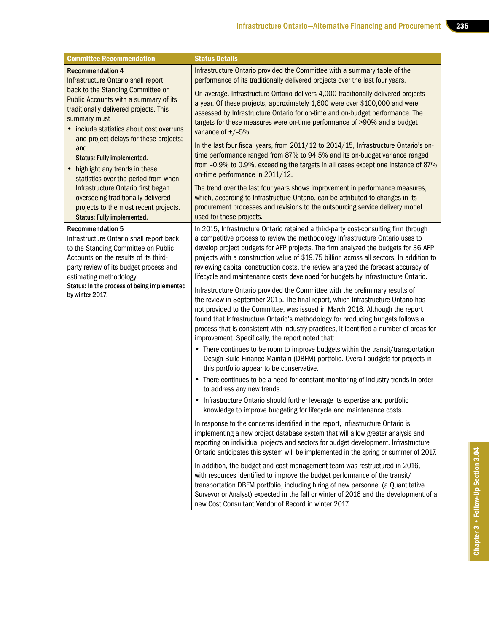| <b>Committee Recommendation</b>                                                                                                                                                                                                                                                                                                                                                                                                                                        | <b>Status Details</b>                                                                                                                                                                                                                                                                                                                                                                                                                                                                                                                                                                                                                                                                                                                                                                                                                                                                                                                                                                                                                                                                                                                                                                                                                                                                                                                                                                                                                                                                                                     |
|------------------------------------------------------------------------------------------------------------------------------------------------------------------------------------------------------------------------------------------------------------------------------------------------------------------------------------------------------------------------------------------------------------------------------------------------------------------------|---------------------------------------------------------------------------------------------------------------------------------------------------------------------------------------------------------------------------------------------------------------------------------------------------------------------------------------------------------------------------------------------------------------------------------------------------------------------------------------------------------------------------------------------------------------------------------------------------------------------------------------------------------------------------------------------------------------------------------------------------------------------------------------------------------------------------------------------------------------------------------------------------------------------------------------------------------------------------------------------------------------------------------------------------------------------------------------------------------------------------------------------------------------------------------------------------------------------------------------------------------------------------------------------------------------------------------------------------------------------------------------------------------------------------------------------------------------------------------------------------------------------------|
| <b>Recommendation 4</b><br>Infrastructure Ontario shall report<br>back to the Standing Committee on                                                                                                                                                                                                                                                                                                                                                                    | Infrastructure Ontario provided the Committee with a summary table of the<br>performance of its traditionally delivered projects over the last four years.                                                                                                                                                                                                                                                                                                                                                                                                                                                                                                                                                                                                                                                                                                                                                                                                                                                                                                                                                                                                                                                                                                                                                                                                                                                                                                                                                                |
| Public Accounts with a summary of its<br>traditionally delivered projects. This<br>summary must<br>• include statistics about cost overruns<br>and project delays for these projects;<br>and<br><b>Status: Fully implemented.</b><br>• highlight any trends in these<br>statistics over the period from when<br>Infrastructure Ontario first began<br>overseeing traditionally delivered<br>projects to the most recent projects.<br><b>Status: Fully implemented.</b> | On average, Infrastructure Ontario delivers 4,000 traditionally delivered projects<br>a year. Of these projects, approximately 1,600 were over \$100,000 and were<br>assessed by Infrastructure Ontario for on-time and on-budget performance. The<br>targets for these measures were on-time performance of >90% and a budget<br>variance of $+/-5%$ .                                                                                                                                                                                                                                                                                                                                                                                                                                                                                                                                                                                                                                                                                                                                                                                                                                                                                                                                                                                                                                                                                                                                                                   |
|                                                                                                                                                                                                                                                                                                                                                                                                                                                                        | In the last four fiscal years, from 2011/12 to 2014/15, Infrastructure Ontario's on-<br>time performance ranged from 87% to 94.5% and its on-budget variance ranged<br>from -0.9% to 0.9%, exceeding the targets in all cases except one instance of 87%<br>on-time performance in 2011/12.                                                                                                                                                                                                                                                                                                                                                                                                                                                                                                                                                                                                                                                                                                                                                                                                                                                                                                                                                                                                                                                                                                                                                                                                                               |
|                                                                                                                                                                                                                                                                                                                                                                                                                                                                        | The trend over the last four years shows improvement in performance measures,<br>which, according to Infrastructure Ontario, can be attributed to changes in its<br>procurement processes and revisions to the outsourcing service delivery model<br>used for these projects.                                                                                                                                                                                                                                                                                                                                                                                                                                                                                                                                                                                                                                                                                                                                                                                                                                                                                                                                                                                                                                                                                                                                                                                                                                             |
| <b>Recommendation 5</b><br>Infrastructure Ontario shall report back<br>to the Standing Committee on Public<br>Accounts on the results of its third-<br>party review of its budget process and<br>estimating methodology<br>Status: In the process of being implemented<br>by winter 2017.                                                                                                                                                                              | In 2015, Infrastructure Ontario retained a third-party cost-consulting firm through<br>a competitive process to review the methodology Infrastructure Ontario uses to<br>develop project budgets for AFP projects. The firm analyzed the budgets for 36 AFP<br>projects with a construction value of \$19.75 billion across all sectors. In addition to<br>reviewing capital construction costs, the review analyzed the forecast accuracy of<br>lifecycle and maintenance costs developed for budgets by Infrastructure Ontario.<br>Infrastructure Ontario provided the Committee with the preliminary results of<br>the review in September 2015. The final report, which Infrastructure Ontario has<br>not provided to the Committee, was issued in March 2016. Although the report<br>found that Infrastructure Ontario's methodology for producing budgets follows a<br>process that is consistent with industry practices, it identified a number of areas for<br>improvement. Specifically, the report noted that:<br>• There continues to be room to improve budgets within the transit/transportation<br>Design Build Finance Maintain (DBFM) portfolio. Overall budgets for projects in<br>this portfolio appear to be conservative.<br>• There continues to be a need for constant monitoring of industry trends in order<br>to address any new trends.<br>• Infrastructure Ontario should further leverage its expertise and portfolio<br>knowledge to improve budgeting for lifecycle and maintenance costs. |
|                                                                                                                                                                                                                                                                                                                                                                                                                                                                        | In response to the concerns identified in the report, Infrastructure Ontario is<br>implementing a new project database system that will allow greater analysis and<br>reporting on individual projects and sectors for budget development. Infrastructure<br>Ontario anticipates this system will be implemented in the spring or summer of 2017.                                                                                                                                                                                                                                                                                                                                                                                                                                                                                                                                                                                                                                                                                                                                                                                                                                                                                                                                                                                                                                                                                                                                                                         |
|                                                                                                                                                                                                                                                                                                                                                                                                                                                                        | In addition, the budget and cost management team was restructured in 2016,<br>with resources identified to improve the budget performance of the transit/<br>transportation DBFM portfolio, including hiring of new personnel (a Quantitative<br>Surveyor or Analyst) expected in the fall or winter of 2016 and the development of a<br>new Cost Consultant Vendor of Record in winter 2017.                                                                                                                                                                                                                                                                                                                                                                                                                                                                                                                                                                                                                                                                                                                                                                                                                                                                                                                                                                                                                                                                                                                             |